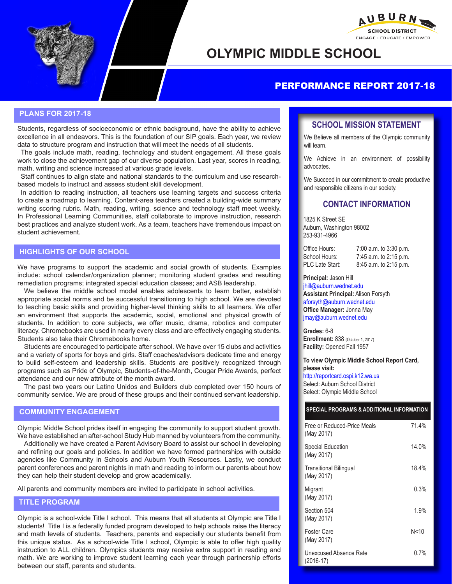



# **OLYMPIC MIDDLE SCHOOL**

# PERFORMANCE REPORT 2017-18

## **PLANS FOR 2017-18**

Students, regardless of socioeconomic or ethnic background, have the ability to achieve excellence in all endeavors. This is the foundation of our SIP goals. Each year, we review data to structure program and instruction that will meet the needs of all students.

The goals include math, reading, technology and student engagement. All these goals work to close the achievement gap of our diverse population. Last year, scores in reading, math, writing and science increased at various grade levels.

Staff continues to align state and national standards to the curriculum and use researchbased models to instruct and assess student skill development.

In addition to reading instruction, all teachers use learning targets and success criteria to create a roadmap to learning. Content-area teachers created a building-wide summary writing scoring rubric. Math, reading, writing, science and technology staff meet weekly. In Professional Learning Communities, staff collaborate to improve instruction, research best practices and analyze student work. As a team, teachers have tremendous impact on student achievement.

## **HIGHLIGHTS OF OUR SCHOOL**

We have programs to support the academic and social growth of students. Examples include: school calendar/organization planner; monitoring student grades and resulting remediation programs; integrated special education classes; and ASB leadership.

We believe the middle school model enables adolescents to learn better, establish appropriate social norms and be successful transitioning to high school. We are devoted to teaching basic skills and providing higher-level thinking skills to all learners. We offer an environment that supports the academic, social, emotional and physical growth of students. In addition to core subjects, we offer music, drama, robotics and computer literacy. Chromebooks are used in nearly every class and are effectively engaging students. Students also take their Chromebooks home.

Students are encouraged to participate after school. We have over 15 clubs and activities and a variety of sports for boys and girls. Staff coaches/advisors dedicate time and energy to build self-esteem and leadership skills. Students are positively recognized through programs such as Pride of Olympic, Students-of-the-Month, Cougar Pride Awards, perfect attendance and our new attribute of the month award.

The past two years our Latino Unidos and Builders club completed over 150 hours of community service. We are proud of these groups and their continued servant leadership.

## **COMMUNITY ENGAGEMENT**

Olympic Middle School prides itself in engaging the community to support student growth. We have established an after-school Study Hub manned by volunteers from the community.

Additionally we have created a Parent Advisory Board to assist our school in developing and refining our goals and policies. In addition we have formed partnerships with outside agencies like Community in Schools and Auburn Youth Resources. Lastly, we conduct parent conferences and parent nights in math and reading to inform our parents about how they can help their student develop and grow academically.

All parents and community members are invited to participate in school activities.

## **TITLE PROGRAM**

Olympic is a school-wide Title I school. This means that all students at Olympic are Title I students! Title I is a federally funded program developed to help schools raise the literacy and math levels of students. Teachers, parents and especially our students benefit from this unique status. As a school-wide Title I school, Olympic is able to offer high quality instruction to ALL children. Olympics students may receive extra support in reading and math. We are working to improve student learning each year through partnership efforts between our staff, parents and students.

## **SCHOOL MISSION STATEMENT**

We Believe all members of the Olympic community will learn.

We Achieve in an environment of possibility advocates.

We Succeed in our commitment to create productive and responsible citizens in our society.

## **CONTACT INFORMATION**

1825 K Street SE Auburn, Washington 98002 253-931-4966

PLC Late Start: 8:45 a.m. to 2:15 p.m.

Office Hours: 7:00 a.m. to 3:30 p.m.<br>School Hours: 7:45 a.m. to 2:15 p.m. 7:45 a.m. to 2:15 p.m.

#### **Principal:** Jason Hill

jhill@auburn.wednet.edu **Assistant Principal:** Alison Forsyth aforsyth@auburn.wednet.edu **Office Manager:** Jonna May jmay@auburn.wednet.edu

**Grades:** 6-8 **Enrollment:** 838 (October 1, 2017) **Facility:** Opened Fall 1957

**To view Olympic Middle School Report Card, please visit:**  http://reportcard.ospi.k12.wa.us

Select: Auburn School District Select: Olympic Middle School

### **SPECIAL PROGRAMS & ADDITIONAL INFORMATION**

| Free or Reduced-Price Meals<br>(May 2017)   | 71.4%   |
|---------------------------------------------|---------|
| Special Education<br>(May 2017)             | 14.0%   |
| <b>Transitional Bilingual</b><br>(May 2017) | 18.4%   |
| Migrant<br>(May 2017)                       | $0.3\%$ |
| Section 504<br>(May 2017)                   | 1.9%    |
| Foster Care<br>(May 2017)                   | N<10    |
| Unexcused Absence Rate<br>$(2016-17)$       | $0.7\%$ |